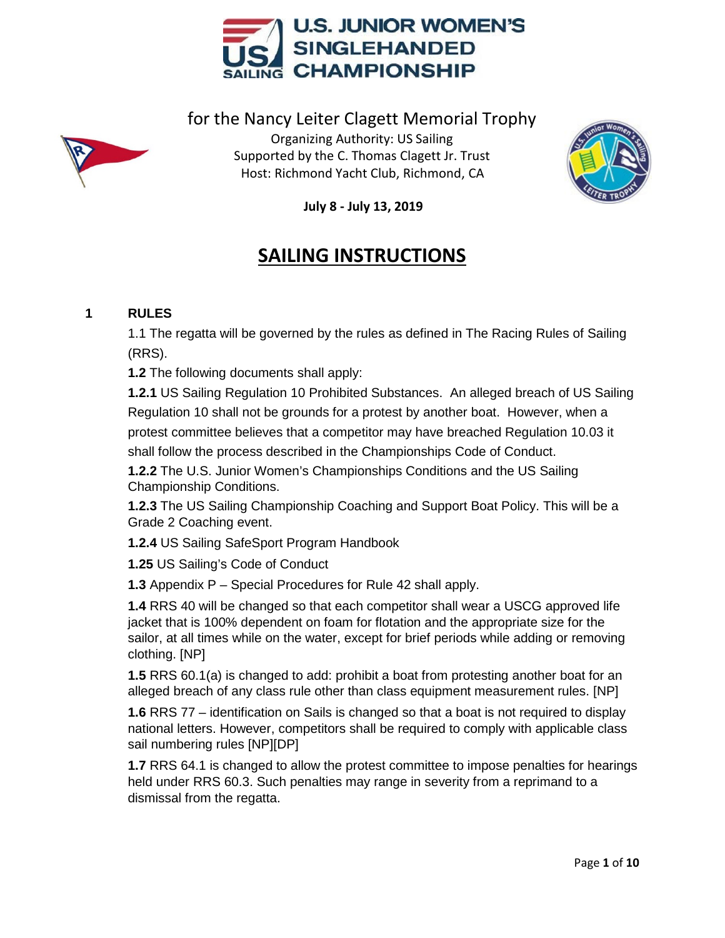



for the Nancy Leiter Clagett Memorial Trophy Organizing Authority: US Sailing Supported by the C. Thomas Clagett Jr. Trust Host: Richmond Yacht Club, Richmond, CA



**July 8 - July 13, 2019**

# **SAILING INSTRUCTIONS**

# **1 RULES**

1.1 The regatta will be governed by the rules as defined in The Racing Rules of Sailing (RRS).

**1.2** The following documents shall apply:

 **1.2.1** US Sailing Regulation 10 Prohibited Substances. An alleged breach of US Sailing Regulation 10 shall not be grounds for a protest by another boat. However, when a protest committee believes that a competitor may have breached Regulation 10.03 it shall follow the process described in the Championships Code of Conduct.

**1.2.2** The U.S. Junior Women's Championships Conditions and the US Sailing Championship Conditions.

**1.2.3** The US Sailing Championship Coaching and Support Boat Policy. This will be a Grade 2 Coaching event.

**1.2.4** US Sailing SafeSport Program Handbook

**1.25** US Sailing's Code of Conduct

**1.3** Appendix P – Special Procedures for Rule 42 shall apply.

**1.4** RRS 40 will be changed so that each competitor shall wear a USCG approved life jacket that is 100% dependent on foam for flotation and the appropriate size for the sailor, at all times while on the water, except for brief periods while adding or removing clothing. [NP]

**1.5** RRS 60.1(a) is changed to add: prohibit a boat from protesting another boat for an alleged breach of any class rule other than class equipment measurement rules. [NP]

**1.6** RRS 77 – identification on Sails is changed so that a boat is not required to display national letters. However, competitors shall be required to comply with applicable class sail numbering rules [NP][DP]

**1.7** RRS 64.1 is changed to allow the protest committee to impose penalties for hearings held under RRS 60.3. Such penalties may range in severity from a reprimand to a dismissal from the regatta.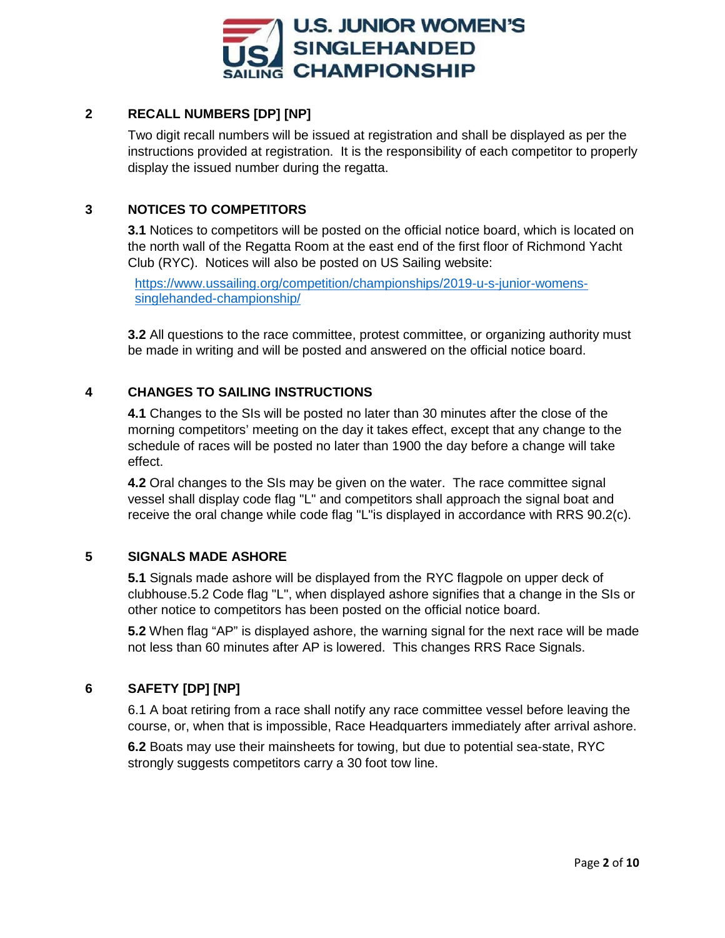

# **2 RECALL NUMBERS [DP] [NP]**

Two digit recall numbers will be issued at registration and shall be displayed as per the instructions provided at registration. It is the responsibility of each competitor to properly display the issued number during the regatta.

## **3 NOTICES TO COMPETITORS**

**3.1** Notices to competitors will be posted on the official notice board, which is located on the north wall of the Regatta Room at the east end of the first floor of Richmond Yacht Club (RYC). Notices will also be posted on US Sailing website:

[https://www.ussailing.org/competition/championships/2019-u-s-junior-womens](https://www.ussailing.org/competition/championships/2019-u-s-junior-womens-%20%20%20singlehanded-championship/)[singlehanded-championship/](https://www.ussailing.org/competition/championships/2019-u-s-junior-womens-%20%20%20singlehanded-championship/)

**3.2** All questions to the race committee, protest committee, or organizing authority must be made in writing and will be posted and answered on the official notice board.

## **4 CHANGES TO SAILING INSTRUCTIONS**

**4.1** Changes to the SIs will be posted no later than 30 minutes after the close of the morning competitors' meeting on the day it takes effect, except that any change to the schedule of races will be posted no later than 1900 the day before a change will take effect.

**4.2** Oral changes to the SIs may be given on the water. The race committee signal vessel shall display code flag "L" and competitors shall approach the signal boat and receive the oral change while code flag "L"is displayed in accordance with RRS 90.2(c).

# **5 SIGNALS MADE ASHORE**

**5.1** Signals made ashore will be displayed from the RYC flagpole on upper deck of clubhouse.5.2 Code flag "L", when displayed ashore signifies that a change in the SIs or other notice to competitors has been posted on the official notice board.

**5.2** When flag "AP" is displayed ashore, the warning signal for the next race will be made not less than 60 minutes after AP is lowered. This changes RRS Race Signals.

# **6 SAFETY [DP] [NP]**

6.1 A boat retiring from a race shall notify any race committee vessel before leaving the course, or, when that is impossible, Race Headquarters immediately after arrival ashore.

**6.2** Boats may use their mainsheets for towing, but due to potential sea-state, RYC strongly suggests competitors carry a 30 foot tow line.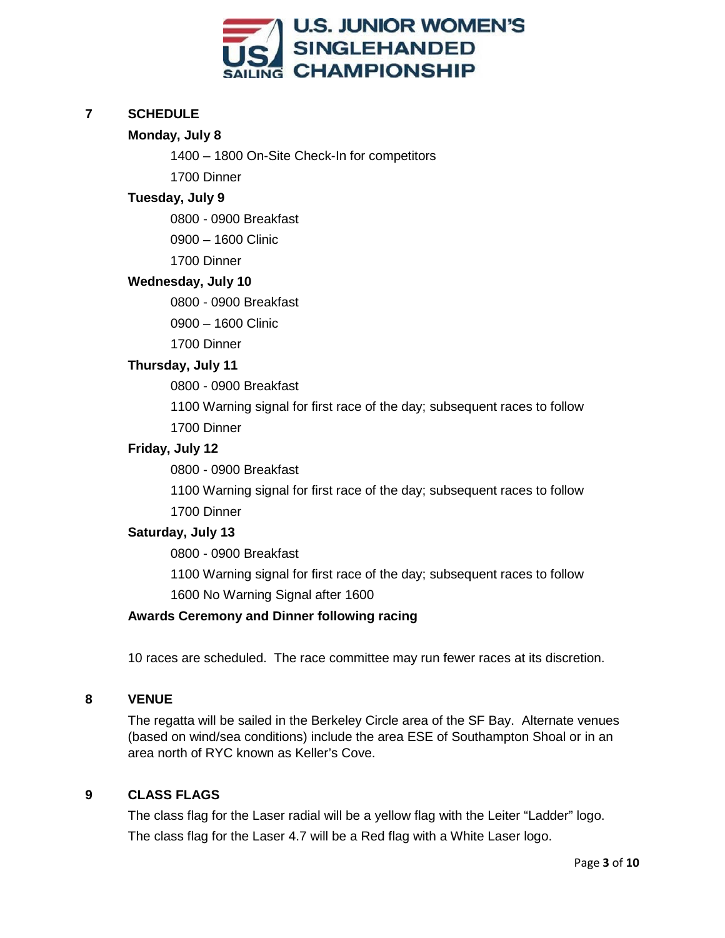

## **7 SCHEDULE**

## **Monday, July 8**

1400 – 1800 On-Site Check-In for competitors

1700 Dinner

### **Tuesday, July 9**

0800 - 0900 Breakfast

0900 – 1600 Clinic

1700 Dinner

#### **Wednesday, July 10**

0800 - 0900 Breakfast

0900 – 1600 Clinic

1700 Dinner

#### **Thursday, July 11**

0800 - 0900 Breakfast

1100 Warning signal for first race of the day; subsequent races to follow

1700 Dinner

#### **Friday, July 12**

0800 - 0900 Breakfast

1100 Warning signal for first race of the day; subsequent races to follow 1700 Dinner

## **Saturday, July 13**

0800 - 0900 Breakfast

1100 Warning signal for first race of the day; subsequent races to follow 1600 No Warning Signal after 1600

#### **Awards Ceremony and Dinner following racing**

10 races are scheduled. The race committee may run fewer races at its discretion.

### **8 VENUE**

The regatta will be sailed in the Berkeley Circle area of the SF Bay. Alternate venues (based on wind/sea conditions) include the area ESE of Southampton Shoal or in an area north of RYC known as Keller's Cove.

## **9 CLASS FLAGS**

The class flag for the Laser radial will be a yellow flag with the Leiter "Ladder" logo. The class flag for the Laser 4.7 will be a Red flag with a White Laser logo.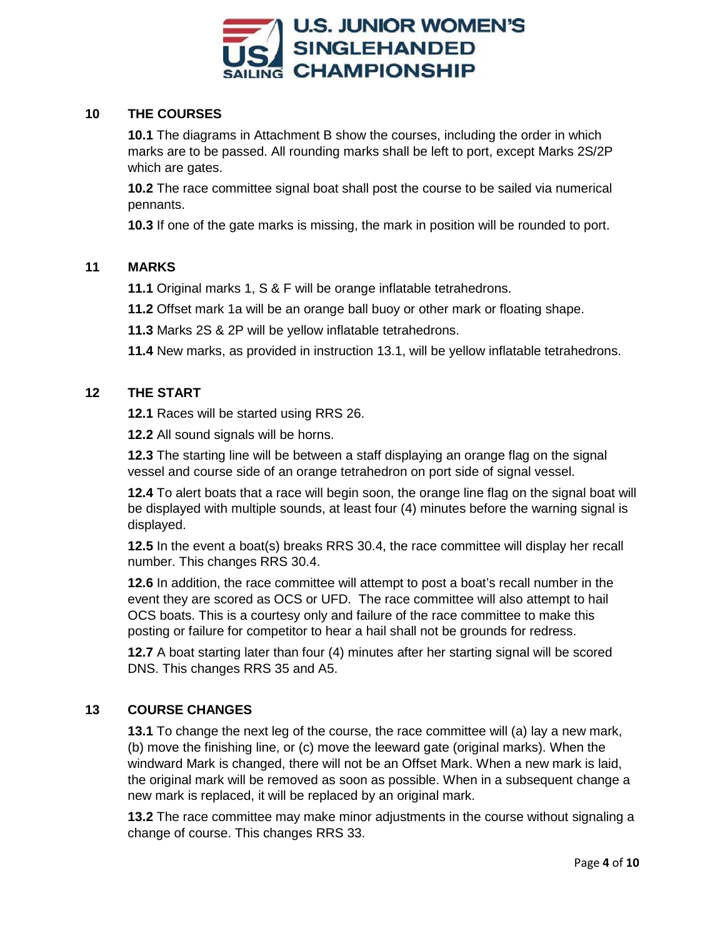

## **10 THE COURSES**

**10.1** The diagrams in Attachment B show the courses, including the order in which marks are to be passed. All rounding marks shall be left to port, except Marks 2S/2P which are gates.

**10.2** The race committee signal boat shall post the course to be sailed via numerical pennants.

**10.3** If one of the gate marks is missing, the mark in position will be rounded to port.

## **11 MARKS**

**11.1** Original marks 1, S & F will be orange inflatable tetrahedrons.

**11.2** Offset mark 1a will be an orange ball buoy or other mark or floating shape.

**11.3** Marks 2S & 2P will be yellow inflatable tetrahedrons.

**11.4** New marks, as provided in instruction 13.1, will be yellow inflatable tetrahedrons.

## **12 THE START**

**12.1** Races will be started using RRS 26.

**12.2** All sound signals will be horns.

**12.3** The starting line will be between a staff displaying an orange flag on the signal vessel and course side of an orange tetrahedron on port side of signal vessel.

**12.4** To alert boats that a race will begin soon, the orange line flag on the signal boat will be displayed with multiple sounds, at least four (4) minutes before the warning signal is displayed.

**12.5** In the event a boat(s) breaks RRS 30.4, the race committee will display her recall number. This changes RRS 30.4.

**12.6** In addition, the race committee will attempt to post a boat's recall number in the event they are scored as OCS or UFD. The race committee will also attempt to hail OCS boats. This is a courtesy only and failure of the race committee to make this posting or failure for competitor to hear a hail shall not be grounds for redress.

**12.7** A boat starting later than four (4) minutes after her starting signal will be scored DNS. This changes RRS 35 and A5.

# **13 COURSE CHANGES**

**13.1** To change the next leg of the course, the race committee will (a) lay a new mark, (b) move the finishing line, or (c) move the leeward gate (original marks). When the windward Mark is changed, there will not be an Offset Mark. When a new mark is laid, the original mark will be removed as soon as possible. When in a subsequent change a new mark is replaced, it will be replaced by an original mark.

**13.2** The race committee may make minor adjustments in the course without signaling a change of course. This changes RRS 33.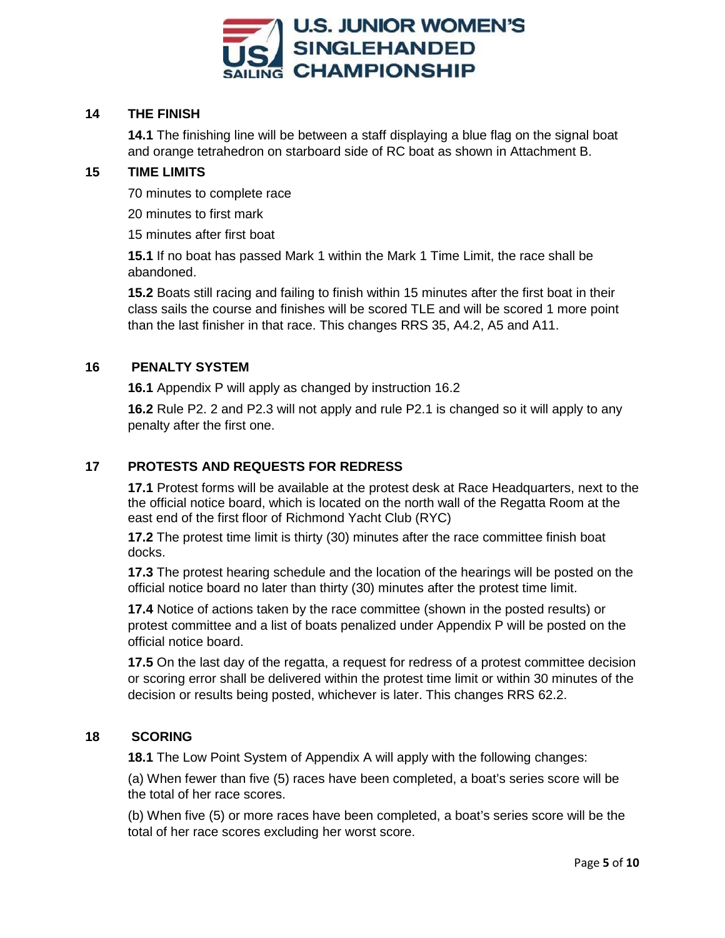

## **14 THE FINISH**

**14.1** The finishing line will be between a staff displaying a blue flag on the signal boat and orange tetrahedron on starboard side of RC boat as shown in Attachment B.

## **15 TIME LIMITS**

70 minutes to complete race

20 minutes to first mark

15 minutes after first boat

**15.1** If no boat has passed Mark 1 within the Mark 1 Time Limit, the race shall be abandoned.

**15.2** Boats still racing and failing to finish within 15 minutes after the first boat in their class sails the course and finishes will be scored TLE and will be scored 1 more point than the last finisher in that race. This changes RRS 35, A4.2, A5 and A11.

## **16 PENALTY SYSTEM**

**16.1** Appendix P will apply as changed by instruction 16.2

**16.2** Rule P2. 2 and P2.3 will not apply and rule P2.1 is changed so it will apply to any penalty after the first one.

## **17 PROTESTS AND REQUESTS FOR REDRESS**

**17.1** Protest forms will be available at the protest desk at Race Headquarters, next to the the official notice board, which is located on the north wall of the Regatta Room at the east end of the first floor of Richmond Yacht Club (RYC)

**17.2** The protest time limit is thirty (30) minutes after the race committee finish boat docks.

**17.3** The protest hearing schedule and the location of the hearings will be posted on the official notice board no later than thirty (30) minutes after the protest time limit.

**17.4** Notice of actions taken by the race committee (shown in the posted results) or protest committee and a list of boats penalized under Appendix P will be posted on the official notice board.

**17.5** On the last day of the regatta, a request for redress of a protest committee decision or scoring error shall be delivered within the protest time limit or within 30 minutes of the decision or results being posted, whichever is later. This changes RRS 62.2.

## **18 SCORING**

**18.1** The Low Point System of Appendix A will apply with the following changes:

(a) When fewer than five (5) races have been completed, a boat's series score will be the total of her race scores.

(b) When five (5) or more races have been completed, a boat's series score will be the total of her race scores excluding her worst score.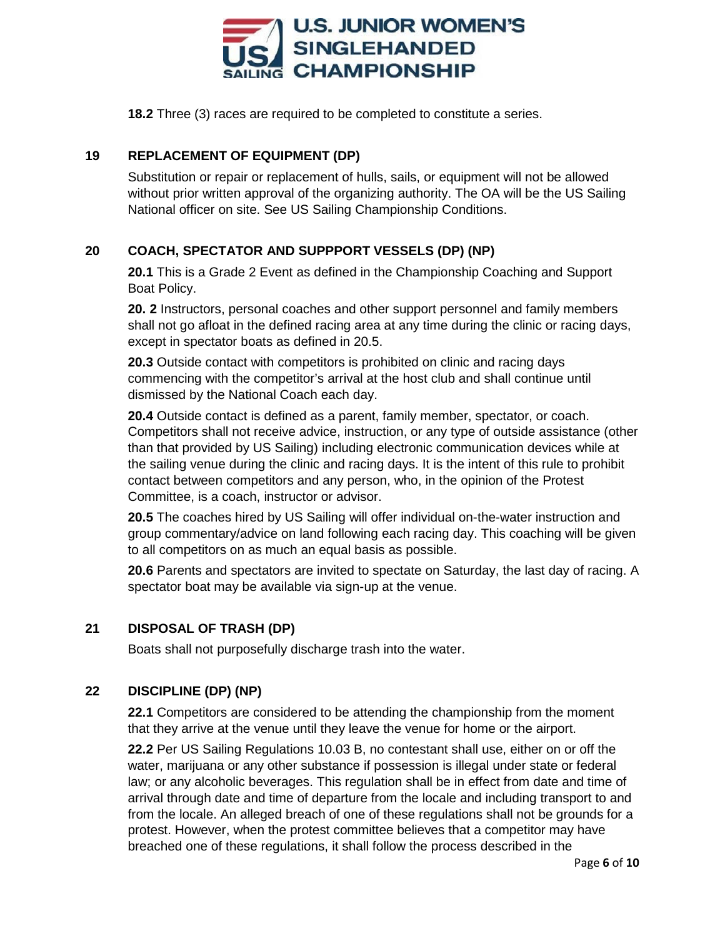

**18.2** Three (3) races are required to be completed to constitute a series.

# **19 REPLACEMENT OF EQUIPMENT (DP)**

Substitution or repair or replacement of hulls, sails, or equipment will not be allowed without prior written approval of the organizing authority. The OA will be the US Sailing National officer on site. See US Sailing Championship Conditions.

# **20 COACH, SPECTATOR AND SUPPPORT VESSELS (DP) (NP)**

**20.1** This is a Grade 2 Event as defined in the Championship Coaching and Support Boat Policy.

**20. 2** Instructors, personal coaches and other support personnel and family members shall not go afloat in the defined racing area at any time during the clinic or racing days, except in spectator boats as defined in 20.5.

**20.3** Outside contact with competitors is prohibited on clinic and racing days commencing with the competitor's arrival at the host club and shall continue until dismissed by the National Coach each day.

**20.4** Outside contact is defined as a parent, family member, spectator, or coach. Competitors shall not receive advice, instruction, or any type of outside assistance (other than that provided by US Sailing) including electronic communication devices while at the sailing venue during the clinic and racing days. It is the intent of this rule to prohibit contact between competitors and any person, who, in the opinion of the Protest Committee, is a coach, instructor or advisor.

**20.5** The coaches hired by US Sailing will offer individual on-the-water instruction and group commentary/advice on land following each racing day. This coaching will be given to all competitors on as much an equal basis as possible.

**20.6** Parents and spectators are invited to spectate on Saturday, the last day of racing. A spectator boat may be available via sign-up at the venue.

# **21 DISPOSAL OF TRASH (DP)**

Boats shall not purposefully discharge trash into the water.

# **22 DISCIPLINE (DP) (NP)**

**22.1** Competitors are considered to be attending the championship from the moment that they arrive at the venue until they leave the venue for home or the airport.

**22.2** Per US Sailing Regulations 10.03 B, no contestant shall use, either on or off the water, marijuana or any other substance if possession is illegal under state or federal law; or any alcoholic beverages. This regulation shall be in effect from date and time of arrival through date and time of departure from the locale and including transport to and from the locale. An alleged breach of one of these regulations shall not be grounds for a protest. However, when the protest committee believes that a competitor may have breached one of these regulations, it shall follow the process described in the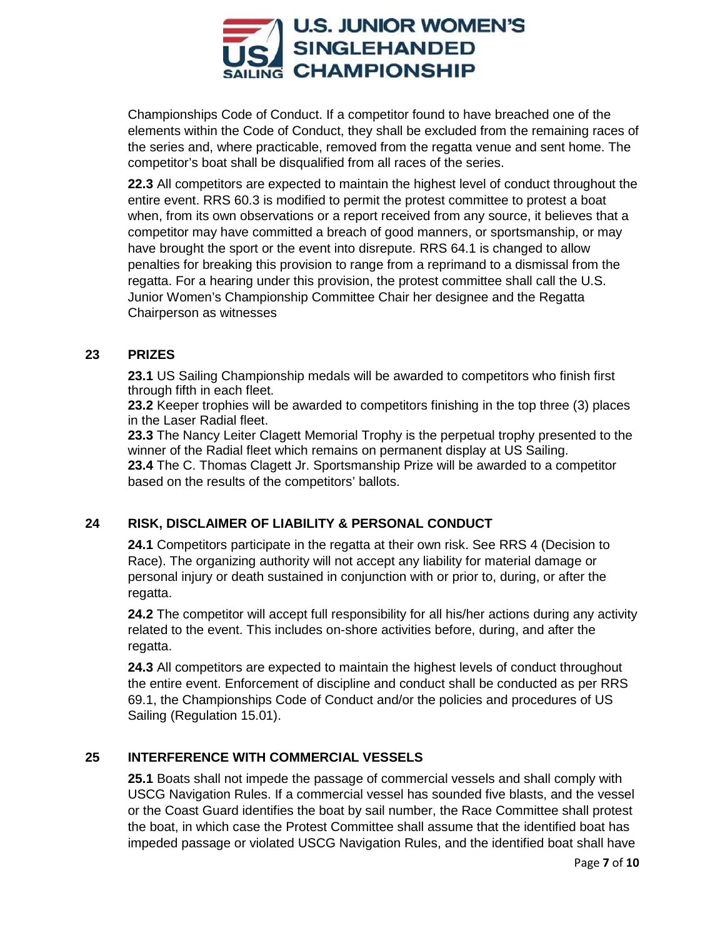

Championships Code of Conduct. If a competitor found to have breached one of the elements within the Code of Conduct, they shall be excluded from the remaining races of the series and, where practicable, removed from the regatta venue and sent home. The competitor's boat shall be disqualified from all races of the series.

**22.3** All competitors are expected to maintain the highest level of conduct throughout the entire event. RRS 60.3 is modified to permit the protest committee to protest a boat when, from its own observations or a report received from any source, it believes that a competitor may have committed a breach of good manners, or sportsmanship, or may have brought the sport or the event into disrepute. RRS 64.1 is changed to allow penalties for breaking this provision to range from a reprimand to a dismissal from the regatta. For a hearing under this provision, the protest committee shall call the U.S. Junior Women's Championship Committee Chair her designee and the Regatta Chairperson as witnesses

#### **23 PRIZES**

**23.1** US Sailing Championship medals will be awarded to competitors who finish first through fifth in each fleet.

**23.2** Keeper trophies will be awarded to competitors finishing in the top three (3) places in the Laser Radial fleet.

**23.3** The Nancy Leiter Clagett Memorial Trophy is the perpetual trophy presented to the winner of the Radial fleet which remains on permanent display at US Sailing. **23.4** The C. Thomas Clagett Jr. Sportsmanship Prize will be awarded to a competitor based on the results of the competitors' ballots.

## **24 RISK, DISCLAIMER OF LIABILITY & PERSONAL CONDUCT**

**24.1** Competitors participate in the regatta at their own risk. See RRS 4 (Decision to Race). The organizing authority will not accept any liability for material damage or personal injury or death sustained in conjunction with or prior to, during, or after the regatta.

**24.2** The competitor will accept full responsibility for all his/her actions during any activity related to the event. This includes on-shore activities before, during, and after the regatta.

**24.3** All competitors are expected to maintain the highest levels of conduct throughout the entire event. Enforcement of discipline and conduct shall be conducted as per RRS 69.1, the Championships Code of Conduct and/or the policies and procedures of US Sailing (Regulation 15.01).

## **25 INTERFERENCE WITH COMMERCIAL VESSELS**

**25.1** Boats shall not impede the passage of commercial vessels and shall comply with USCG Navigation Rules. If a commercial vessel has sounded five blasts, and the vessel or the Coast Guard identifies the boat by sail number, the Race Committee shall protest the boat, in which case the Protest Committee shall assume that the identified boat has impeded passage or violated USCG Navigation Rules, and the identified boat shall have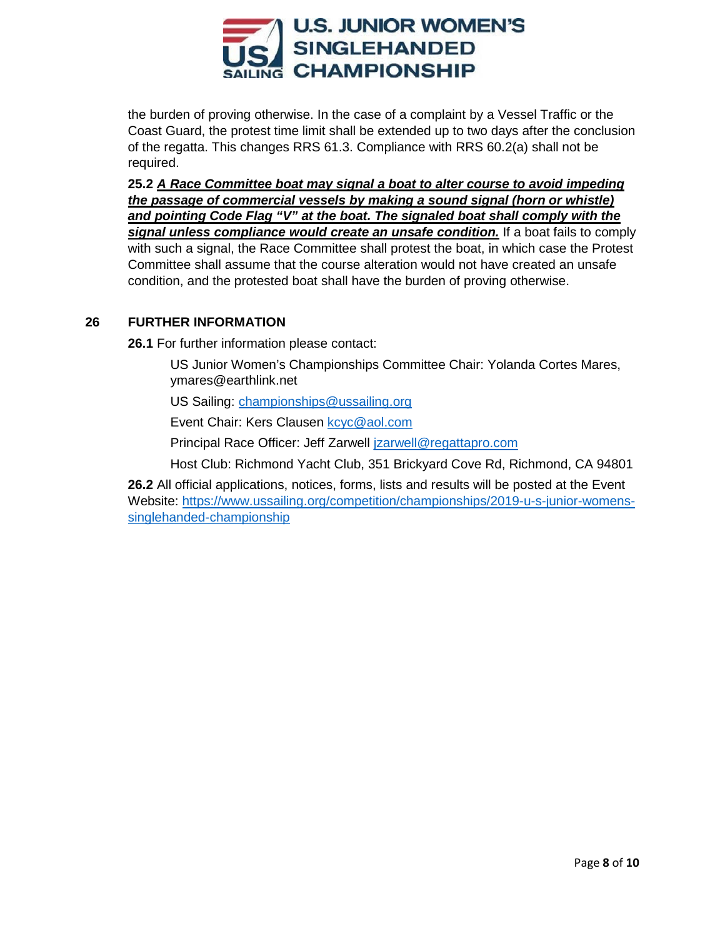

the burden of proving otherwise. In the case of a complaint by a Vessel Traffic or the Coast Guard, the protest time limit shall be extended up to two days after the conclusion of the regatta. This changes RRS 61.3. Compliance with RRS 60.2(a) shall not be required.

**25.2** *A Race Committee boat may signal a boat to alter course to avoid impeding the passage of commercial vessels by making a sound signal (horn or whistle) and pointing Code Flag "V" at the boat. The signaled boat shall comply with the signal unless compliance would create an unsafe condition.* If a boat fails to comply with such a signal, the Race Committee shall protest the boat, in which case the Protest Committee shall assume that the course alteration would not have created an unsafe condition, and the protested boat shall have the burden of proving otherwise.

## **26 FURTHER INFORMATION**

**26.1** For further information please contact:

US Junior Women's Championships Committee Chair: Yolanda Cortes Mares, ymares@earthlink.net

US Sailing: [championships@ussailing.org](mailto:championships@ussailing.org)

Event Chair: Kers Clausen [kcyc@aol.com](mailto:kcyc@aol.com)

Principal Race Officer: Jeff Zarwell [jzarwell@regattapro.com](mailto:jzarwell@regattapro.com)

Host Club: Richmond Yacht Club, 351 Brickyard Cove Rd, Richmond, CA 94801

**26.2** All official applications, notices, forms, lists and results will be posted at the Event Website: [https://www.ussailing.org/competition/championships/2019-u-s-junior-womens](https://www.ussailing.org/competition/championships/2019-u-s-junior-womens-singlehanded-championship)[singlehanded-championship](https://www.ussailing.org/competition/championships/2019-u-s-junior-womens-singlehanded-championship)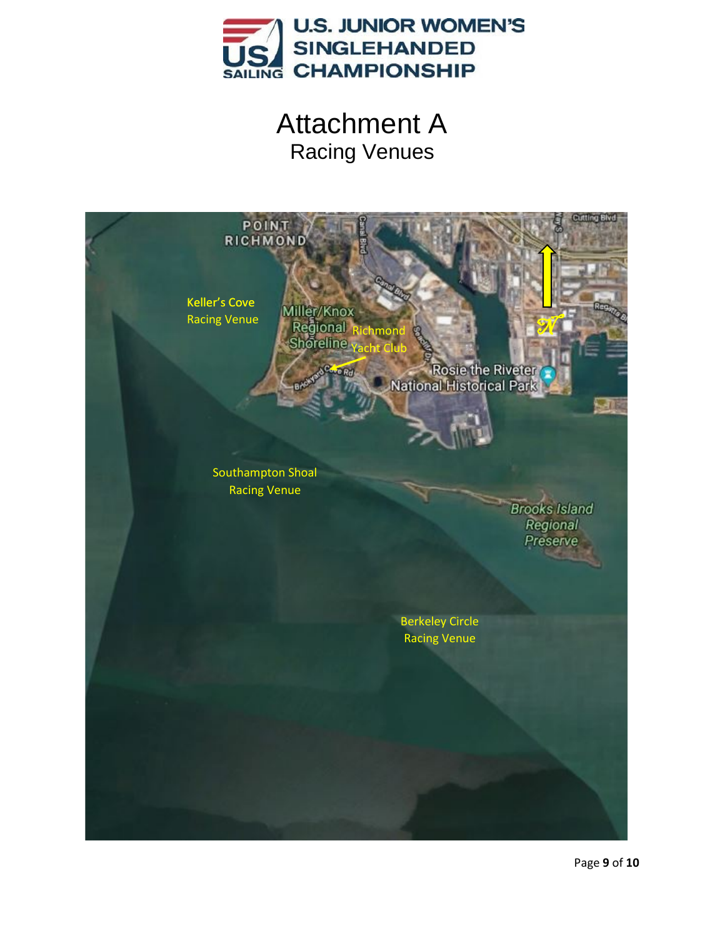

Attachment A Racing Venues